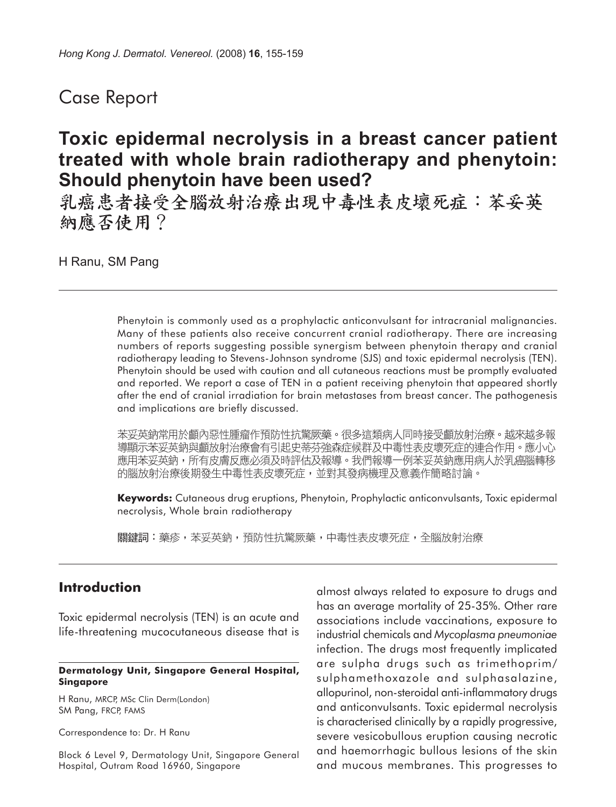## Case Report

# **Toxic epidermal necrolysis in a breast cancer patient treated with whole brain radiotherapy and phenytoin: Should phenytoin have been used?**

乳癌患者接受全腦放射治療出現中毒性表皮壞死症:苯妥英 納應否使用?

H Ranu, SM Pang

Phenytoin is commonly used as a prophylactic anticonvulsant for intracranial malignancies. Many of these patients also receive concurrent cranial radiotherapy. There are increasing numbers of reports suggesting possible synergism between phenytoin therapy and cranial radiotherapy leading to Stevens-Johnson syndrome (SJS) and toxic epidermal necrolysis (TEN). Phenytoin should be used with caution and all cutaneous reactions must be promptly evaluated and reported. We report a case of TEN in a patient receiving phenytoin that appeared shortly after the end of cranial irradiation for brain metastases from breast cancer. The pathogenesis and implications are briefly discussed.

苯妥英鈉常用於顱內惡性腫瘤作預防性抗驚厥藥。很多這類病人同時接受顱放射治療。越來越多報 導顯示苯妥英鈉與顱放射治療會有引起史蒂芬強森症候群及中毒性表皮壞死症的連合作用。應小心 應用苯妥英鈉,所有皮膚反應必須及時評估及報導。我們報導一例苯妥英鈉應用病人於乳癌腦轉移 的腦放射治療後期發生中毒性表皮壞死症,並對其發病機理及意義作簡略討論。

**Keywords:** Cutaneous drug eruptions, Phenytoin, Prophylactic anticonvulsants, Toxic epidermal necrolysis, Whole brain radiotherapy

關鍵詞:藥疹,苯妥英鈉,預防性抗驚厥藥,中毒性表皮壞死症,全腦放射治療

## **Introduction**

Toxic epidermal necrolysis (TEN) is an acute and life-threatening mucocutaneous disease that is

#### **Dermatology Unit, Singapore General Hospital, Singapore**

H Ranu, MRCP, MSc Clin Derm(London) SM Pang, FRCP, FAMS

Correspondence to: Dr. H Ranu

Block 6 Level 9, Dermatology Unit, Singapore General Hospital, Outram Road 16960, Singapore

almost always related to exposure to drugs and has an average mortality of 25-35%. Other rare associations include vaccinations, exposure to industrial chemicals and *Mycoplasma pneumoniae* infection. The drugs most frequently implicated are sulpha drugs such as trimethoprim/ sulphamethoxazole and sulphasalazine, allopurinol, non-steroidal anti-inflammatory drugs and anticonvulsants. Toxic epidermal necrolysis is characterised clinically by a rapidly progressive, severe vesicobullous eruption causing necrotic and haemorrhagic bullous lesions of the skin and mucous membranes. This progresses to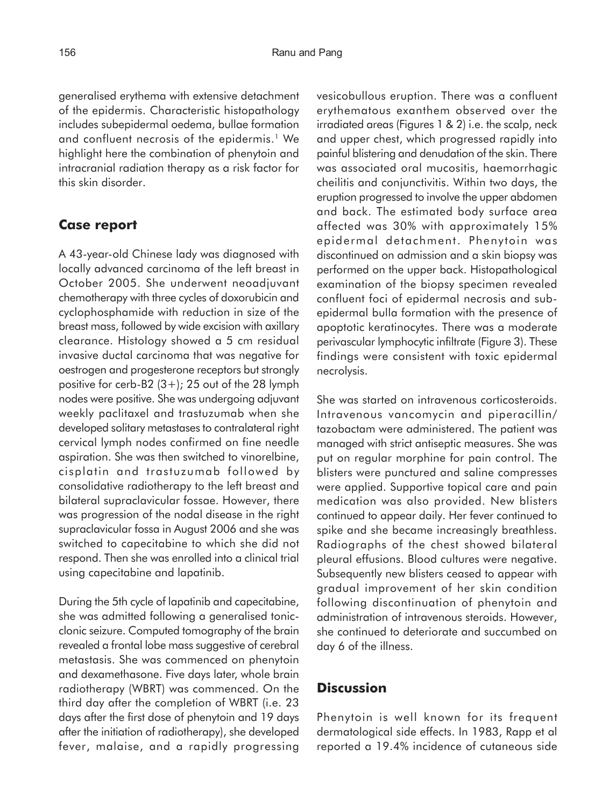generalised erythema with extensive detachment of the epidermis. Characteristic histopathology includes subepidermal oedema, bullae formation and confluent necrosis of the epidermis.<sup>1</sup> We highlight here the combination of phenytoin and intracranial radiation therapy as a risk factor for this skin disorder.

### **Case report**

A 43-year-old Chinese lady was diagnosed with locally advanced carcinoma of the left breast in October 2005. She underwent neoadjuvant chemotherapy with three cycles of doxorubicin and cyclophosphamide with reduction in size of the breast mass, followed by wide excision with axillary clearance. Histology showed a 5 cm residual invasive ductal carcinoma that was negative for oestrogen and progesterone receptors but strongly positive for cerb-B2  $(3+)$ ; 25 out of the 28 lymph nodes were positive. She was undergoing adjuvant weekly paclitaxel and trastuzumab when she developed solitary metastases to contralateral right cervical lymph nodes confirmed on fine needle aspiration. She was then switched to vinorelbine, cisplatin and trastuzumab followed by consolidative radiotherapy to the left breast and bilateral supraclavicular fossae. However, there was progression of the nodal disease in the right supraclavicular fossa in August 2006 and she was switched to capecitabine to which she did not respond. Then she was enrolled into a clinical trial using capecitabine and lapatinib.

During the 5th cycle of lapatinib and capecitabine, she was admitted following a generalised tonicclonic seizure. Computed tomography of the brain revealed a frontal lobe mass suggestive of cerebral metastasis. She was commenced on phenytoin and dexamethasone. Five days later, whole brain radiotherapy (WBRT) was commenced. On the third day after the completion of WBRT (i.e. 23 days after the first dose of phenytoin and 19 days after the initiation of radiotherapy), she developed fever, malaise, and a rapidly progressing vesicobullous eruption. There was a confluent erythematous exanthem observed over the irradiated areas (Figures 1 & 2) i.e. the scalp, neck and upper chest, which progressed rapidly into painful blistering and denudation of the skin. There was associated oral mucositis, haemorrhagic cheilitis and conjunctivitis. Within two days, the eruption progressed to involve the upper abdomen and back. The estimated body surface area affected was 30% with approximately 15% epidermal detachment. Phenytoin was discontinued on admission and a skin biopsy was performed on the upper back. Histopathological examination of the biopsy specimen revealed confluent foci of epidermal necrosis and subepidermal bulla formation with the presence of apoptotic keratinocytes. There was a moderate perivascular lymphocytic infiltrate (Figure 3). These findings were consistent with toxic epidermal necrolysis.

She was started on intravenous corticosteroids. Intravenous vancomycin and piperacillin/ tazobactam were administered. The patient was managed with strict antiseptic measures. She was put on regular morphine for pain control. The blisters were punctured and saline compresses were applied. Supportive topical care and pain medication was also provided. New blisters continued to appear daily. Her fever continued to spike and she became increasingly breathless. Radiographs of the chest showed bilateral pleural effusions. Blood cultures were negative. Subsequently new blisters ceased to appear with gradual improvement of her skin condition following discontinuation of phenytoin and administration of intravenous steroids. However, she continued to deteriorate and succumbed on day 6 of the illness.

## **Discussion**

Phenytoin is well known for its frequent dermatological side effects. In 1983, Rapp et al reported a 19.4% incidence of cutaneous side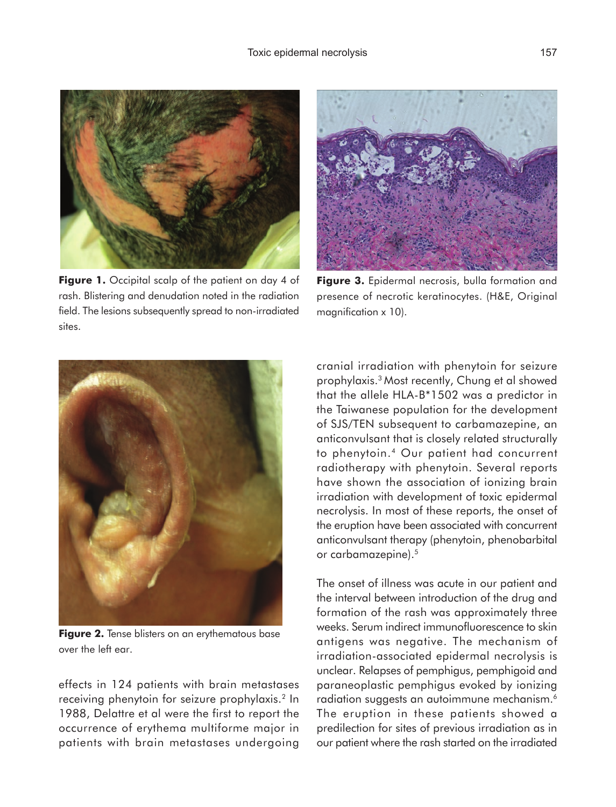

Figure 1. Occipital scalp of the patient on day 4 of rash. Blistering and denudation noted in the radiation field. The lesions subsequently spread to non-irradiated sites.



Figure 3. Epidermal necrosis, bulla formation and presence of necrotic keratinocytes. (H&E, Original magnification x 10).



**Figure 2.** Tense blisters on an erythematous base over the left ear.

effects in 124 patients with brain metastases receiving phenytoin for seizure prophylaxis.2 In 1988, Delattre et al were the first to report the occurrence of erythema multiforme major in patients with brain metastases undergoing cranial irradiation with phenytoin for seizure prophylaxis.3 Most recently, Chung et al showed that the allele HLA-B\*1502 was a predictor in the Taiwanese population for the development of SJS/TEN subsequent to carbamazepine, an anticonvulsant that is closely related structurally to phenytoin.4 Our patient had concurrent radiotherapy with phenytoin. Several reports have shown the association of ionizing brain irradiation with development of toxic epidermal necrolysis. In most of these reports, the onset of the eruption have been associated with concurrent anticonvulsant therapy (phenytoin, phenobarbital or carbamazepine).5

The onset of illness was acute in our patient and the interval between introduction of the drug and formation of the rash was approximately three weeks. Serum indirect immunofluorescence to skin antigens was negative. The mechanism of irradiation-associated epidermal necrolysis is unclear. Relapses of pemphigus, pemphigoid and paraneoplastic pemphigus evoked by ionizing radiation suggests an autoimmune mechanism.6 The eruption in these patients showed a predilection for sites of previous irradiation as in our patient where the rash started on the irradiated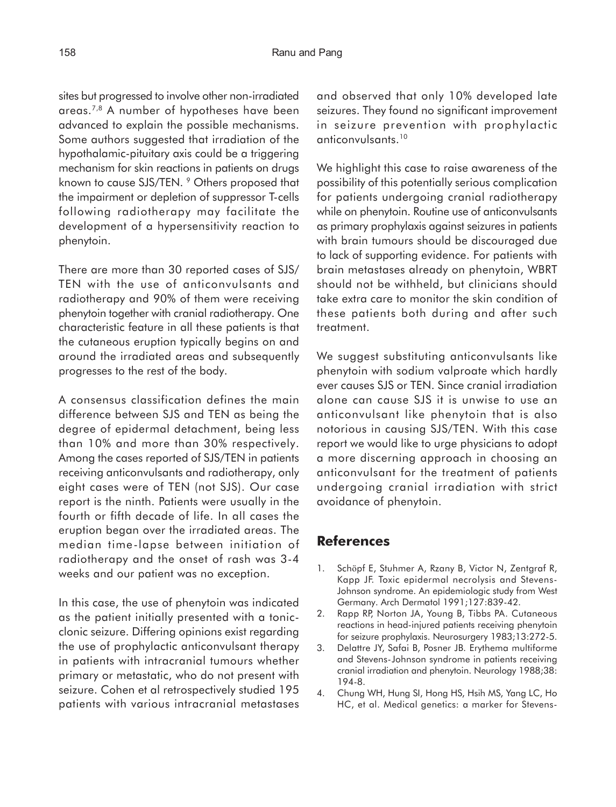sites but progressed to involve other non-irradiated areas.7,8 A number of hypotheses have been advanced to explain the possible mechanisms. Some authors suggested that irradiation of the hypothalamic-pituitary axis could be a triggering mechanism for skin reactions in patients on drugs known to cause SJS/TEN. 9 Others proposed that the impairment or depletion of suppressor T-cells following radiotherapy may facilitate the development of a hypersensitivity reaction to phenytoin.

There are more than 30 reported cases of SJS/ TEN with the use of anticonvulsants and radiotherapy and 90% of them were receiving phenytoin together with cranial radiotherapy. One characteristic feature in all these patients is that the cutaneous eruption typically begins on and around the irradiated areas and subsequently progresses to the rest of the body.

A consensus classification defines the main difference between SJS and TEN as being the degree of epidermal detachment, being less than 10% and more than 30% respectively. Among the cases reported of SJS/TEN in patients receiving anticonvulsants and radiotherapy, only eight cases were of TEN (not SJS). Our case report is the ninth. Patients were usually in the fourth or fifth decade of life. In all cases the eruption began over the irradiated areas. The median time-lapse between initiation of radiotherapy and the onset of rash was 3-4 weeks and our patient was no exception.

In this case, the use of phenytoin was indicated as the patient initially presented with a tonicclonic seizure. Differing opinions exist regarding the use of prophylactic anticonvulsant therapy in patients with intracranial tumours whether primary or metastatic, who do not present with seizure. Cohen et al retrospectively studied 195 patients with various intracranial metastases and observed that only 10% developed late seizures. They found no significant improvement in seizure prevention with prophylactic anticonvulsants.10

We highlight this case to raise awareness of the possibility of this potentially serious complication for patients undergoing cranial radiotherapy while on phenytoin. Routine use of anticonvulsants as primary prophylaxis against seizures in patients with brain tumours should be discouraged due to lack of supporting evidence. For patients with brain metastases already on phenytoin, WBRT should not be withheld, but clinicians should take extra care to monitor the skin condition of these patients both during and after such treatment.

We suggest substituting anticonvulsants like phenytoin with sodium valproate which hardly ever causes SJS or TEN. Since cranial irradiation alone can cause SJS it is unwise to use an anticonvulsant like phenytoin that is also notorious in causing SJS/TEN. With this case report we would like to urge physicians to adopt a more discerning approach in choosing an anticonvulsant for the treatment of patients undergoing cranial irradiation with strict avoidance of phenytoin.

## **References**

- 1. Schöpf E, Stuhmer A, Rzany B, Victor N, Zentgraf R, Kapp JF. Toxic epidermal necrolysis and Stevens-Johnson syndrome. An epidemiologic study from West Germany. Arch Dermatol 1991;127:839-42.
- 2. Rapp RP, Norton JA, Young B, Tibbs PA. Cutaneous reactions in head-injured patients receiving phenytoin for seizure prophylaxis. Neurosurgery 1983;13:272-5.
- 3. Delattre JY, Safai B, Posner JB. Erythema multiforme and Stevens-Johnson syndrome in patients receiving cranial irradiation and phenytoin. Neurology 1988;38: 194-8.
- 4. Chung WH, Hung SI, Hong HS, Hsih MS, Yang LC, Ho HC, et al. Medical genetics: a marker for Stevens-